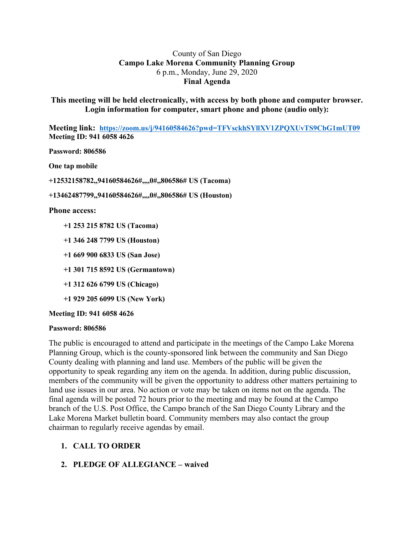## County of San Diego **Campo Lake Morena Community Planning Group** 6 p.m., Monday, June 29, 2020 **Final Agenda**

**This meeting will be held electronically, with access by both phone and computer browser. Login information for computer, smart phone and phone (audio only):**

**Meeting link: https://zoom.us/j/94160584626?pwd=TFVsckhSYllXV1ZPQXUvTS9CbG1mUT09 Meeting ID: 941 6058 4626**

**Password: 806586**

**One tap mobile**

**+12532158782,,94160584626#,,,,0#,,806586# US (Tacoma)**

**+13462487799,,94160584626#,,,,0#,,806586# US (Houston)**

#### **Phone access:**

- **+1 253 215 8782 US (Tacoma)**
- **+1 346 248 7799 US (Houston)**
- **+1 669 900 6833 US (San Jose)**
- **+1 301 715 8592 US (Germantown)**
- **+1 312 626 6799 US (Chicago)**
- **+1 929 205 6099 US (New York)**

**Meeting ID: 941 6058 4626**

#### **Password: 806586**

The public is encouraged to attend and participate in the meetings of the Campo Lake Morena Planning Group, which is the county-sponsored link between the community and San Diego County dealing with planning and land use. Members of the public will be given the opportunity to speak regarding any item on the agenda. In addition, during public discussion, members of the community will be given the opportunity to address other matters pertaining to land use issues in our area. No action or vote may be taken on items not on the agenda. The final agenda will be posted 72 hours prior to the meeting and may be found at the Campo branch of the U.S. Post Office, the Campo branch of the San Diego County Library and the Lake Morena Market bulletin board. Community members may also contact the group chairman to regularly receive agendas by email.

# **1. CALL TO ORDER**

# **2. PLEDGE OF ALLEGIANCE – waived**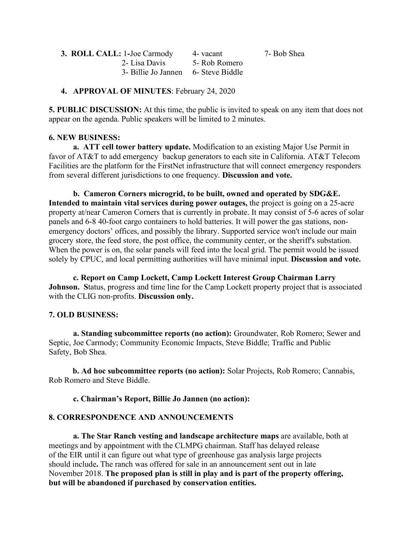| 3. ROLL CALL: 1-Joe Carmody         | 4 - vacant    | 7- Bob Shea |
|-------------------------------------|---------------|-------------|
| 2- Lisa Davis                       | 5- Rob Romero |             |
| 3- Billie Jo Jannen 6- Steve Biddle |               |             |

### **4. APPROVAL OF MINUTES**: February 24, 2020

**5. PUBLIC DISCUSSION:** At this time, the public is invited to speak on any item that does not appear on the agenda. Public speakers will be limited to 2 minutes.

### **6. NEW BUSINESS:**

**a. ATT cell tower battery update.** Modification to an existing Major Use Permit in favor of AT&T to add emergency backup generators to each site in California. AT&T Telecom Facilities are the platform for the FirstNet infrastructure that will connect emergency responders from several different jurisdictions to one frequency. **Discussion and vote.**

**b. Cameron Corners microgrid, to be built, owned and operated by SDG&E. Intended to maintain vital services during power outages,** the project is going on a 25-acre property at/near Cameron Corners that is currently in probate. It may consist of 5-6 acres of solar panels and 6-8 40-foot cargo containers to hold batteries. It will power the gas stations, nonemergency doctors' offices, and possibly the library. Supported service won't include our main grocery store, the feed store, the post office, the community center, or the sheriff's substation. When the power is on, the solar panels will feed into the local grid. The permit would be issued solely by CPUC, and local permitting authorities will have minimal input. **Discussion and vote.**

**c. Report on Camp Lockett, Camp Lockett Interest Group Chairman Larry Johnson.** Status, progress and time line for the Camp Lockett property project that is associated with the CLIG non-profits. **Discussion only.**

# **7. OLD BUSINESS:**

**a. Standing subcommittee reports (no action):** Groundwater, Rob Romero; Sewer and Septic, Joe Carmody; Community Economic Impacts, Steve Biddle; Traffic and Public Safety, Bob Shea.

**b. Ad hoc subcommittee reports (no action):** Solar Projects, Rob Romero; Cannabis, Rob Romero and Steve Biddle.

# **c. Chairman's Report, Billie Jo Jannen (no action):**

# **8. CORRESPONDENCE AND ANNOUNCEMENTS**

**a. The Star Ranch vesting and landscape architecture maps** are available, both at meetings and by appointment with the CLMPG chairman. Staff has delayed release of the EIR until it can figure out what type of greenhouse gas analysis large projects should include**.** The ranch was offered for sale in an announcement sent out in late November 2018. **The proposed plan is still in play and is part of the property offering, but will be abandoned if purchased by conservation entities.**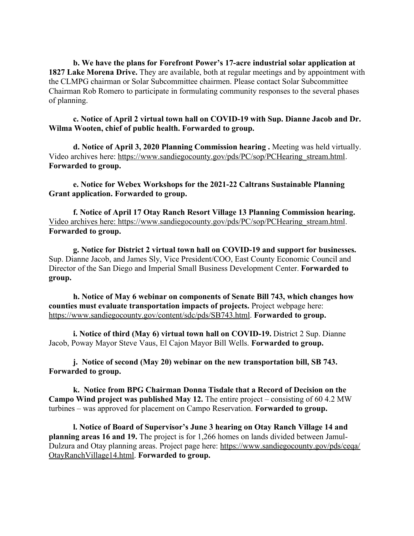**b. We have the plans for Forefront Power's 17-acre industrial solar application at 1827 Lake Morena Drive.** They are available, both at regular meetings and by appointment with the CLMPG chairman or Solar Subcommittee chairmen. Please contact Solar Subcommittee Chairman Rob Romero to participate in formulating community responses to the several phases of planning.

**c. Notice of April 2 virtual town hall on COVID-19 with Sup. Dianne Jacob and Dr. Wilma Wooten, chief of public health. Forwarded to group.**

**d. Notice of April 3, 2020 Planning Commission hearing .** Meeting was held virtually. Video archives here: https://www.sandiegocounty.gov/pds/PC/sop/PCHearing\_stream.html. **Forwarded to group.**

**e. Notice for Webex Workshops for the 2021-22 Caltrans Sustainable Planning Grant application. Forwarded to group.**

**f. Notice of April 17 Otay Ranch Resort Village 13 Planning Commission hearing.** Video archives here: https://www.sandiegocounty.gov/pds/PC/sop/PCHearing\_stream.html. **Forwarded to group.**

**g. Notice for District 2 virtual town hall on COVID-19 and support for businesses.** Sup. Dianne Jacob, and James Sly, Vice President/COO, East County Economic Council and Director of the San Diego and Imperial Small Business Development Center. **Forwarded to group.**

**h. Notice of May 6 webinar on components of Senate Bill 743, which changes how counties must evaluate transportation impacts of projects.** Project webpage here: https://www.sandiegocounty.gov/content/sdc/pds/SB743.html. **Forwarded to group.**

**i. Notice of third (May 6) virtual town hall on COVID-19.** District 2 Sup. Dianne Jacob, Poway Mayor Steve Vaus, El Cajon Mayor Bill Wells. **Forwarded to group.**

**j. Notice of second (May 20) webinar on the new transportation bill, SB 743. Forwarded to group.**

**k. Notice from BPG Chairman Donna Tisdale that a Record of Decision on the Campo Wind project was published May 12.** The entire project – consisting of 60 4.2 MW turbines – was approved for placement on Campo Reservation. **Forwarded to group.**

**l. Notice of Board of Supervisor's June 3 hearing on Otay Ranch Village 14 and planning areas 16 and 19.** The project is for 1,266 homes on lands divided between Jamul-Dulzura and Otay planning areas. Project page here: https://www.sandiegocounty.gov/pds/ceqa/ OtayRanchVillage14.html. **Forwarded to group.**